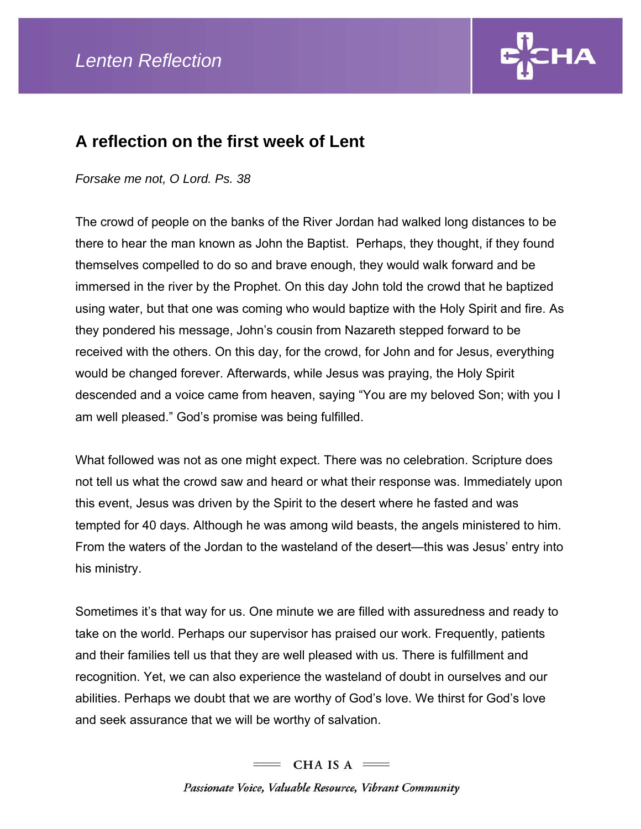

## **A reflection on the first week of Lent**

## *Forsake me not, O Lord. Ps. 38*

The crowd of people on the banks of the River Jordan had walked long distances to be there to hear the man known as John the Baptist. Perhaps, they thought, if they found themselves compelled to do so and brave enough, they would walk forward and be immersed in the river by the Prophet. On this day John told the crowd that he baptized using water, but that one was coming who would baptize with the Holy Spirit and fire. As they pondered his message, John's cousin from Nazareth stepped forward to be received with the others. On this day, for the crowd, for John and for Jesus, everything would be changed forever. Afterwards, while Jesus was praying, the Holy Spirit descended and a voice came from heaven, saying "You are my beloved Son; with you I am well pleased." God's promise was being fulfilled.

What followed was not as one might expect. There was no celebration. Scripture does not tell us what the crowd saw and heard or what their response was. Immediately upon this event, Jesus was driven by the Spirit to the desert where he fasted and was tempted for 40 days. Although he was among wild beasts, the angels ministered to him. From the waters of the Jordan to the wasteland of the desert—this was Jesus' entry into his ministry.

Sometimes it's that way for us. One minute we are filled with assuredness and ready to take on the world. Perhaps our supervisor has praised our work. Frequently, patients and their families tell us that they are well pleased with us. There is fulfillment and recognition. Yet, we can also experience the wasteland of doubt in ourselves and our abilities. Perhaps we doubt that we are worthy of God's love. We thirst for God's love and seek assurance that we will be worthy of salvation.